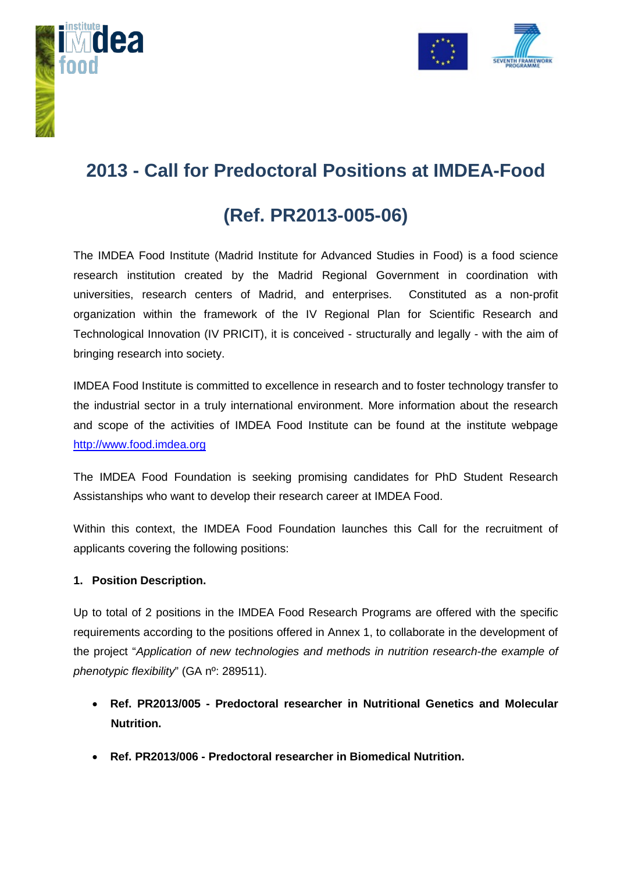



## **2013 - Call for Predoctoral Positions at IMDEA-Food**

# **(Ref. PR2013-005-06)**

The IMDEA Food Institute (Madrid Institute for Advanced Studies in Food) is a food science research institution created by the Madrid Regional Government in coordination with universities, research centers of Madrid, and enterprises. Constituted as a non-profit organization within the framework of the IV Regional Plan for Scientific Research and Technological Innovation (IV PRICIT), it is conceived - structurally and legally - with the aim of bringing research into society.

IMDEA Food Institute is committed to excellence in research and to foster technology transfer to the industrial sector in a truly international environment. More information about the research and scope of the activities of IMDEA Food Institute can be found at the institute webpage [http://www.food.imdea.org](http://www.food.imdea.org/)

The IMDEA Food Foundation is seeking promising candidates for PhD Student Research Assistanships who want to develop their research career at IMDEA Food.

Within this context, the IMDEA Food Foundation launches this Call for the recruitment of applicants covering the following positions:

#### **1. Position Description.**

Up to total of 2 positions in the IMDEA Food Research Programs are offered with the specific requirements according to the positions offered in Annex 1, to collaborate in the development of the project "*Application of new technologies and methods in nutrition research-the example of phenotypic flexibility*" (GA nº: 289511).

- **Ref. PR2013/005 - Predoctoral researcher in Nutritional Genetics and Molecular Nutrition.**
- **Ref. PR2013/006 - Predoctoral researcher in Biomedical Nutrition.**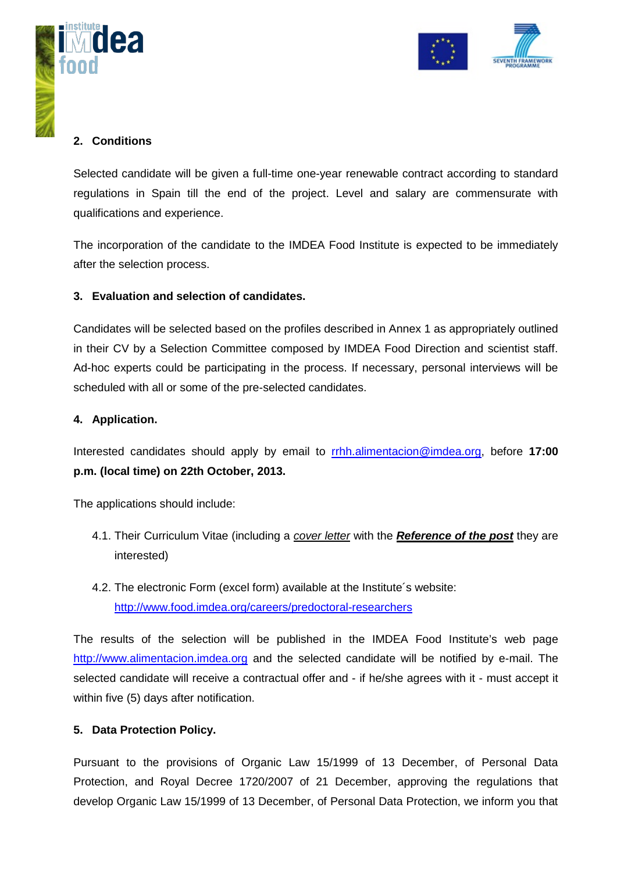



#### **2. Conditions**

Selected candidate will be given a full-time one-year renewable contract according to standard regulations in Spain till the end of the project. Level and salary are commensurate with qualifications and experience.

The incorporation of the candidate to the IMDEA Food Institute is expected to be immediately after the selection process.

#### **3. Evaluation and selection of candidates.**

Candidates will be selected based on the profiles described in Annex 1 as appropriately outlined in their CV by a Selection Committee composed by IMDEA Food Direction and scientist staff. Ad-hoc experts could be participating in the process. If necessary, personal interviews will be scheduled with all or some of the pre-selected candidates.

#### **4. Application.**

Interested candidates should apply by email to [rrhh.alimentacion@imdea.org,](mailto:rrhh.alimentacion@imdea.org) before **17:00 p.m. (local time) on 22th October, 2013.**

The applications should include:

- 4.1. Their Curriculum Vitae (including a *cover letter* with the *Reference of the post* they are interested)
- 4.2. The electronic Form (excel form) available at the Institute´s website: <http://www.food.imdea.org/careers/predoctoral-researchers>

The results of the selection will be published in the IMDEA Food Institute's web page [http://www.alimentacion.imdea.org](http://www.alimentacion.imdea.org/) and the selected candidate will be notified by e-mail. The selected candidate will receive a contractual offer and - if he/she agrees with it - must accept it within five (5) days after notification.

#### **5. Data Protection Policy.**

Pursuant to the provisions of Organic Law 15/1999 of 13 December, of Personal Data Protection, and Royal Decree 1720/2007 of 21 December, approving the regulations that develop Organic Law 15/1999 of 13 December, of Personal Data Protection, we inform you that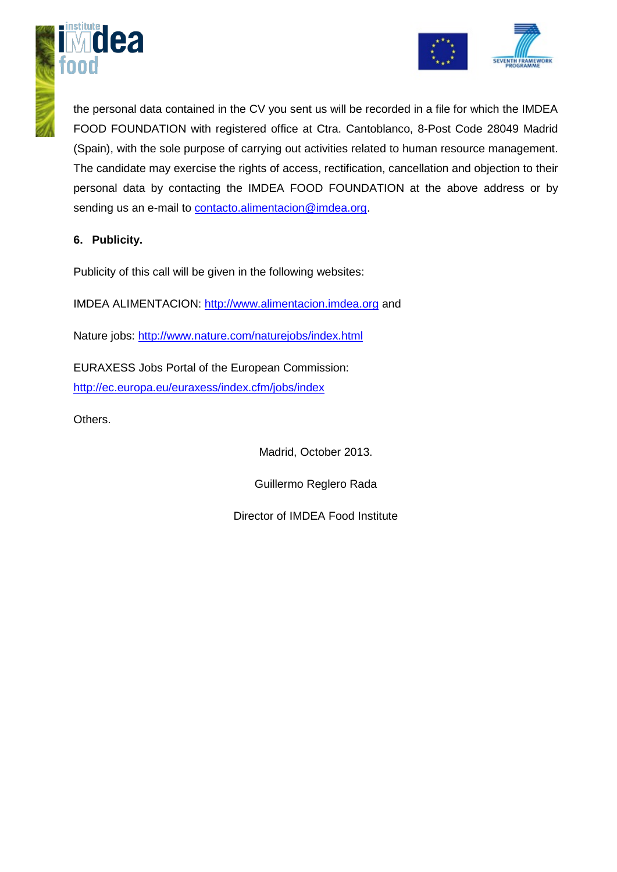



the personal data contained in the CV you sent us will be recorded in a file for which the IMDEA FOOD FOUNDATION with registered office at Ctra. Cantoblanco, 8-Post Code 28049 Madrid (Spain), with the sole purpose of carrying out activities related to human resource management. The candidate may exercise the rights of access, rectification, cancellation and objection to their personal data by contacting the IMDEA FOOD FOUNDATION at the above address or by sending us an e-mail to [contacto.alimentacion@imdea.org.](mailto:contacto.alimentacion@imdea.org)

#### **6. Publicity.**

Publicity of this call will be given in the following websites:

IMDEA ALIMENTACION: http:/[/www.alimentacion.imdea.org](http://www.alimentacion.imdea.org/) and

Nature jobs:<http://www.nature.com/naturejobs/index.html>

EURAXESS Jobs Portal of the European Commission: <http://ec.europa.eu/euraxess/index.cfm/jobs/index>

Others.

Madrid, October 2013.

Guillermo Reglero Rada

Director of IMDEA Food Institute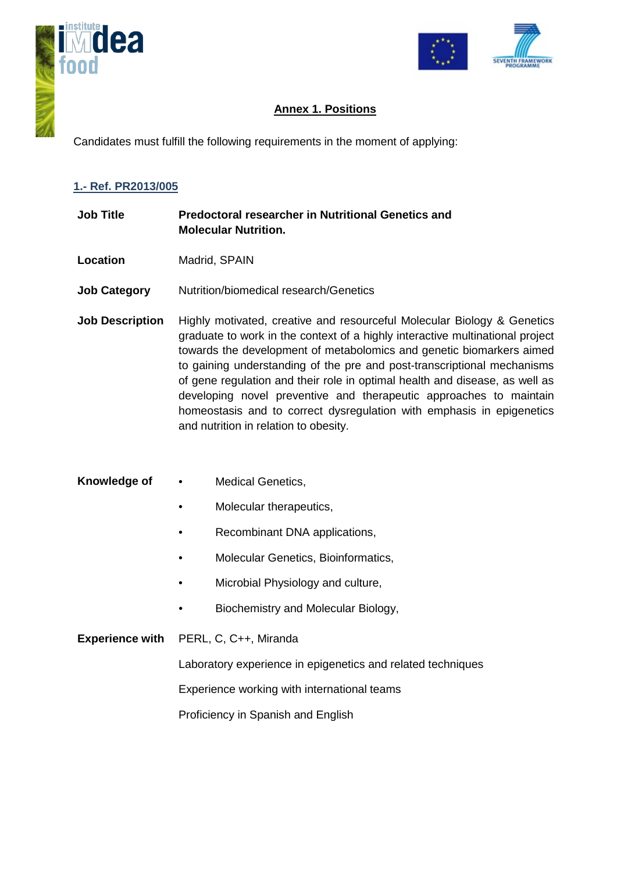



#### **Annex 1. Positions**

Candidates must fulfill the following requirements in the moment of applying:

#### **1.- Ref. PR2013/005**

- **Job Title Predoctoral researcher in Nutritional Genetics and Molecular Nutrition.**
- **Location** Madrid, SPAIN
- **Job Category** Nutrition/biomedical research/Genetics
- **Job Description** Highly motivated, creative and resourceful Molecular Biology & Genetics graduate to work in the context of a highly interactive multinational project towards the development of metabolomics and genetic biomarkers aimed to gaining understanding of the pre and post-transcriptional mechanisms of gene regulation and their role in optimal health and disease, as well as developing novel preventive and therapeutic approaches to maintain homeostasis and to correct dysregulation with emphasis in epigenetics and nutrition in relation to obesity.
- **Knowledge of**  Medical Genetics,
	- Molecular therapeutics,
	- Recombinant DNA applications,
	- Molecular Genetics, Bioinformatics,
	- Microbial Physiology and culture,
	- Biochemistry and Molecular Biology,

#### **Experience with** PERL, C, C++, Miranda

Laboratory experience in epigenetics and related techniques

Experience working with international teams

Proficiency in Spanish and English